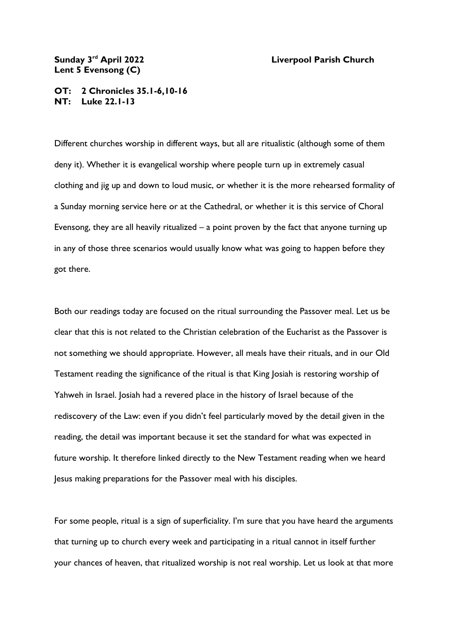## Sunday 3<sup>rd</sup> April 2022 **Lent 5 Evensong (C)**

## **Liverpool Parish Church**

## **OT: 2 Chronicles 35.1-6,10-16 NT: Luke 22.1-13**

Different churches worship in different ways, but all are ritualistic (although some of them deny it). Whether it is evangelical worship where people turn up in extremely casual clothing and jig up and down to loud music, or whether it is the more rehearsed formality of a Sunday morning service here or at the Cathedral, or whether it is this service of Choral Evensong, they are all heavily ritualized – a point proven by the fact that anyone turning up in any of those three scenarios would usually know what was going to happen before they got there.

Both our readings today are focused on the ritual surrounding the Passover meal. Let us be clear that this is not related to the Christian celebration of the Eucharist as the Passover is not something we should appropriate. However, all meals have their rituals, and in our Old Testament reading the significance of the ritual is that King Josiah is restoring worship of Yahweh in Israel. Josiah had a revered place in the history of Israel because of the rediscovery of the Law: even if you didn't feel particularly moved by the detail given in the reading, the detail was important because it set the standard for what was expected in future worship. It therefore linked directly to the New Testament reading when we heard Jesus making preparations for the Passover meal with his disciples.

For some people, ritual is a sign of superficiality. I'm sure that you have heard the arguments that turning up to church every week and participating in a ritual cannot in itself further your chances of heaven, that ritualized worship is not real worship. Let us look at that more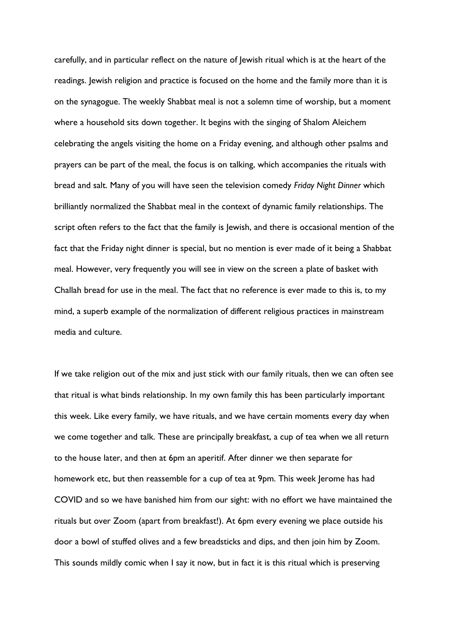carefully, and in particular reflect on the nature of Jewish ritual which is at the heart of the readings. Jewish religion and practice is focused on the home and the family more than it is on the synagogue. The weekly Shabbat meal is not a solemn time of worship, but a moment where a household sits down together. It begins with the singing of Shalom Aleichem celebrating the angels visiting the home on a Friday evening, and although other psalms and prayers can be part of the meal, the focus is on talking, which accompanies the rituals with bread and salt. Many of you will have seen the television comedy *Friday Night Dinner* which brilliantly normalized the Shabbat meal in the context of dynamic family relationships. The script often refers to the fact that the family is Jewish, and there is occasional mention of the fact that the Friday night dinner is special, but no mention is ever made of it being a Shabbat meal. However, very frequently you will see in view on the screen a plate of basket with Challah bread for use in the meal. The fact that no reference is ever made to this is, to my mind, a superb example of the normalization of different religious practices in mainstream media and culture.

If we take religion out of the mix and just stick with our family rituals, then we can often see that ritual is what binds relationship. In my own family this has been particularly important this week. Like every family, we have rituals, and we have certain moments every day when we come together and talk. These are principally breakfast, a cup of tea when we all return to the house later, and then at 6pm an aperitif. After dinner we then separate for homework etc, but then reassemble for a cup of tea at 9pm. This week Jerome has had COVID and so we have banished him from our sight: with no effort we have maintained the rituals but over Zoom (apart from breakfast!). At 6pm every evening we place outside his door a bowl of stuffed olives and a few breadsticks and dips, and then join him by Zoom. This sounds mildly comic when I say it now, but in fact it is this ritual which is preserving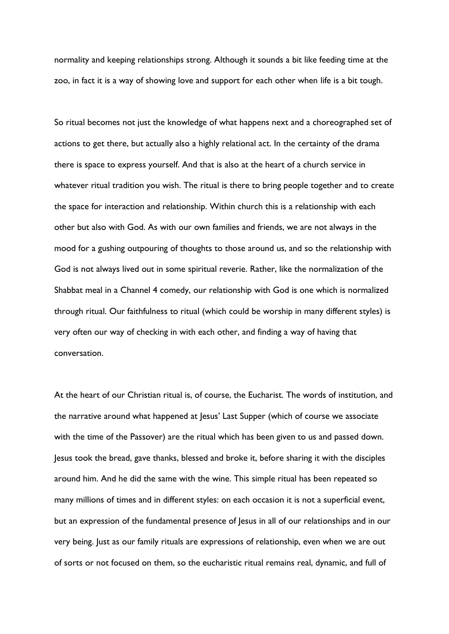normality and keeping relationships strong. Although it sounds a bit like feeding time at the zoo, in fact it is a way of showing love and support for each other when life is a bit tough.

So ritual becomes not just the knowledge of what happens next and a choreographed set of actions to get there, but actually also a highly relational act. In the certainty of the drama there is space to express yourself. And that is also at the heart of a church service in whatever ritual tradition you wish. The ritual is there to bring people together and to create the space for interaction and relationship. Within church this is a relationship with each other but also with God. As with our own families and friends, we are not always in the mood for a gushing outpouring of thoughts to those around us, and so the relationship with God is not always lived out in some spiritual reverie. Rather, like the normalization of the Shabbat meal in a Channel 4 comedy, our relationship with God is one which is normalized through ritual. Our faithfulness to ritual (which could be worship in many different styles) is very often our way of checking in with each other, and finding a way of having that conversation.

At the heart of our Christian ritual is, of course, the Eucharist. The words of institution, and the narrative around what happened at Jesus' Last Supper (which of course we associate with the time of the Passover) are the ritual which has been given to us and passed down. Jesus took the bread, gave thanks, blessed and broke it, before sharing it with the disciples around him. And he did the same with the wine. This simple ritual has been repeated so many millions of times and in different styles: on each occasion it is not a superficial event, but an expression of the fundamental presence of Jesus in all of our relationships and in our very being. Just as our family rituals are expressions of relationship, even when we are out of sorts or not focused on them, so the eucharistic ritual remains real, dynamic, and full of